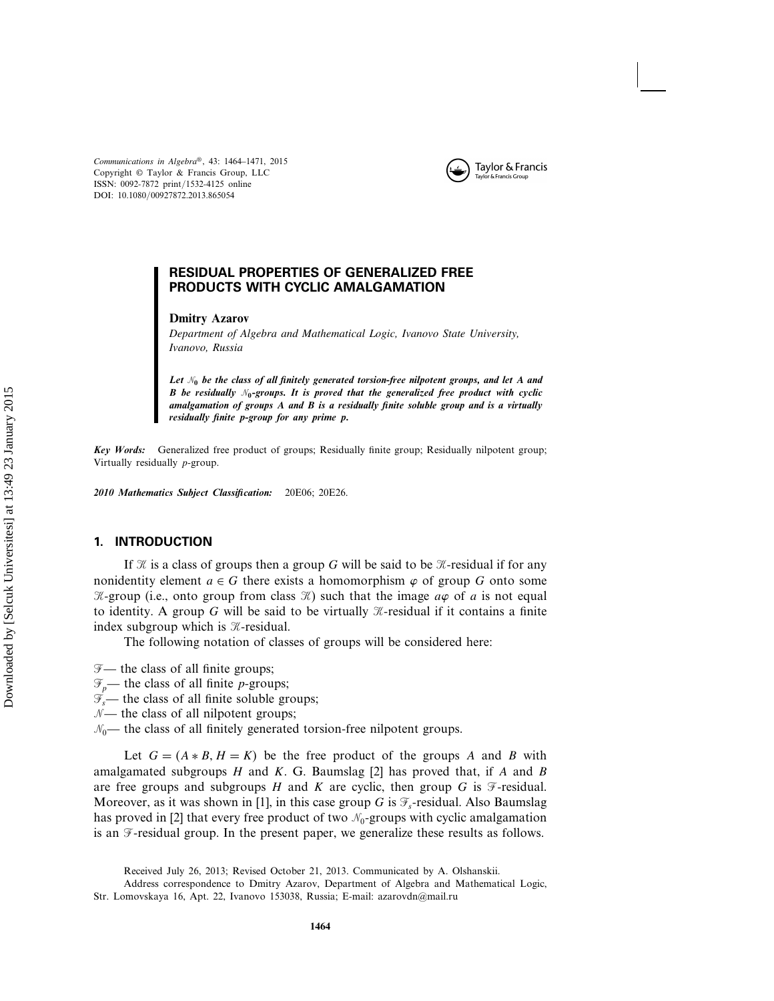

*Communications in Algebra*®, 43: 1464–1471, 2015 Copyright © Taylor & Francis Group, LLC ISSN: 0092-7872 print/1532-4125 online DOI: 10.1080/00927872.2013.865054

# RESIDUAL PROPERTIES OF GENERALIZED FREE PRODUCTS WITH CYCLIC AMALGAMATION

### **Dmitry Azarov**

*Department of Algebra and Mathematical Logic, Ivanovo State University, Ivanovo, Russia*

Let  $\mathcal{N}_0$  be the class of all finitely generated torsion-free nilpotent groups, and let  $\boldsymbol{A}$  and *<i>B* be residually  $\mathcal{N}_0$ -groups. It is proved that the generalized free product with cyclic *amalgamation of groups A and B is a residually finite soluble group and is a virtually residually finite p-group for any prime p.*

*Key Words:* Generalized free product of groups; Residually finite group; Residually nilpotent group; Virtually residually p-group.

*2010 Mathematics Subject Classification:* 20E06; 20E26.

# 1. INTRODUCTION

If  $\mathcal X$  is a class of groups then a group G will be said to be  $\mathcal X$ -residual if for any nonidentity element  $a \in G$  there exists a homomorphism  $\varphi$  of group G onto some  $\mathcal{K}$ -group (i.e., onto group from class  $\mathcal{K}$ ) such that the image  $a\varphi$  of a is not equal to identity. A group G will be said to be virtually  $\mathcal{K}$ -residual if it contains a finite index subgroup which is  $\mathcal{K}$ -residual.

The following notation of classes of groups will be considered here:

- $\mathcal{F}$  the class of all finite groups;
- $\mathcal{F}_p$  the class of all finite *p*-groups;
- $\mathcal{T}_s$  the class of all finite soluble groups;
- $N$  the class of all nilpotent groups;

 $\mathcal{N}_0$ — the class of all finitely generated torsion-free nilpotent groups.

Let  $G = (A * B, H = K)$  be the free product of the groups A and B with amalgamated subgroups  $H$  and  $K$ . G. Baumslag [2] has proved that, if  $A$  and  $B$ are free groups and subgroups H and K are cyclic, then group G is  $\mathcal F$ -residual. Moreover, as it was shown in [1], in this case group G is  $\mathcal{F}_s$ -residual. Also Baumslag has proved in [2] that every free product of two  $\mathcal{N}_0$ -groups with cyclic amalgamation is an  $\mathcal{F}$ -residual group. In the present paper, we generalize these results as follows.

Received July 26, 2013; Revised October 21, 2013. Communicated by A. Olshanskii.

Address correspondence to Dmitry Azarov, Department of Algebra and Mathematical Logic, Str. Lomovskaya 16, Apt. 22, Ivanovo 153038, Russia; E-mail: azarovdn@mail.ru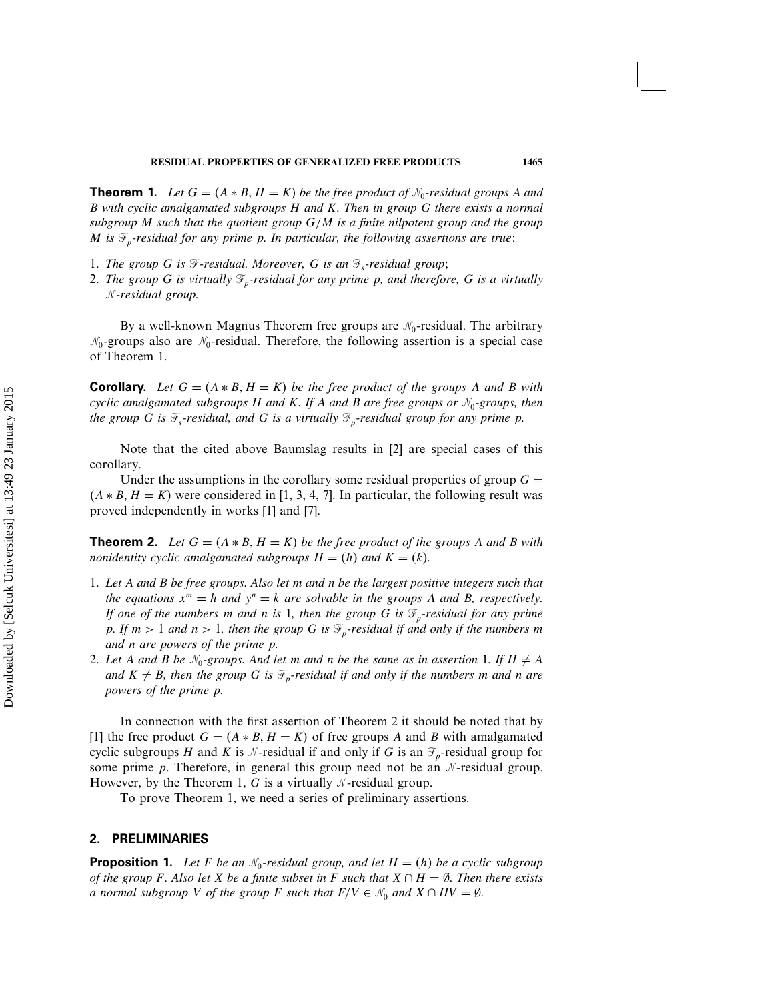**Theorem 1.** Let  $G = (A * B, H = K)$  be the free product of  $\mathcal{N}_0$ -residual groups A and B *with cyclic amalgamated subgroups* H *and* K*. Then in group* G *there exists a normal subgroup* M *such that the quotient group* G/M *is a finite nilpotent group and the group* M is  $\mathcal{F}_p$ -residual for any prime p. In particular, the following assertions are true:

- 1. *The group G is*  $\mathcal{F}$ -residual. Moreover, *G is an*  $\mathcal{F}_s$ -residual group;
- 2. *The group* G *is virtually*  $\mathcal{F}_p$ -residual for any prime p, and therefore, G is a virtually -*-residual group.*

By a well-known Magnus Theorem free groups are  $\mathcal{N}_0$ -residual. The arbitrary  $\mathcal{N}_0$ -groups also are  $\mathcal{N}_0$ -residual. Therefore, the following assertion is a special case of Theorem 1.

**Corollary.** Let  $G = (A * B, H = K)$  be the free product of the groups A and B with *cyclic amalgamated subgroups* H *and* K*. If* A *and* B *are free groups or* -<sup>0</sup>*-groups, then the group* G *is*  $\mathcal{F}_s$ -residual, and G *is a virtually*  $\mathcal{F}_p$ -residual group for any prime p.

Note that the cited above Baumslag results in [2] are special cases of this corollary.

Under the assumptions in the corollary some residual properties of group  $G =$  $(A * B, H = K)$  were considered in [1, 3, 4, 7]. In particular, the following result was proved independently in works [1] and [7].

**Theorem 2.** Let  $G = (A * B, H = K)$  be the free product of the groups A and B with *nonidentity cyclic amalgamated subgroups*  $H = (h)$  *and*  $K = (k)$ *.* 

- 1. *Let* A *and* B *be free groups. Also let* m *and* n *be the largest positive integers such that the equations*  $x^m = h$  *and*  $y^n = k$  *are solvable in the groups* A *and* B, *respectively. If one of the numbers m and n is 1, then the group* G *is*  $\mathcal{F}_p$ -residual for any prime p. If  $m > 1$  and  $n > 1$ , then the group G is  $\mathcal{F}_p$ -residual if and only if the numbers m *and* n *are powers of the prime* p*.*
- 2. Let A and B be  $\mathcal{N}_0$ -groups. And let m and n be the same as in assertion 1. If  $H \neq A$ *and*  $K \neq B$ *, then the group G is*  $\mathcal{F}_p$ -residual *if and only if the numbers m and n are powers of the prime* p*.*

In connection with the first assertion of Theorem 2 it should be noted that by [1] the free product  $G = (A * B, H = K)$  of free groups A and B with amalgamated cyclic subgroups H and K is  $\mathcal N$ -residual if and only if G is an  $\mathcal F_p$ -residual group for some prime  $p$ . Therefore, in general this group need not be an  $\mathcal N$ -residual group. However, by the Theorem 1, G is a virtually  $\mathcal N$ -residual group.

To prove Theorem 1, we need a series of preliminary assertions.

### 2. PRELIMINARIES

**Proposition 1.** Let F be an  $\mathcal{N}_0$ -residual group, and let  $H = (h)$  be a cyclic subgroup *of the group* F. Also let X be a finite subset in F such that  $X \cap H = \emptyset$ . Then there exists *a* normal subgroup V of the group F such that  $F/V \in \mathcal{N}_0$  and  $X \cap HV = \emptyset$ .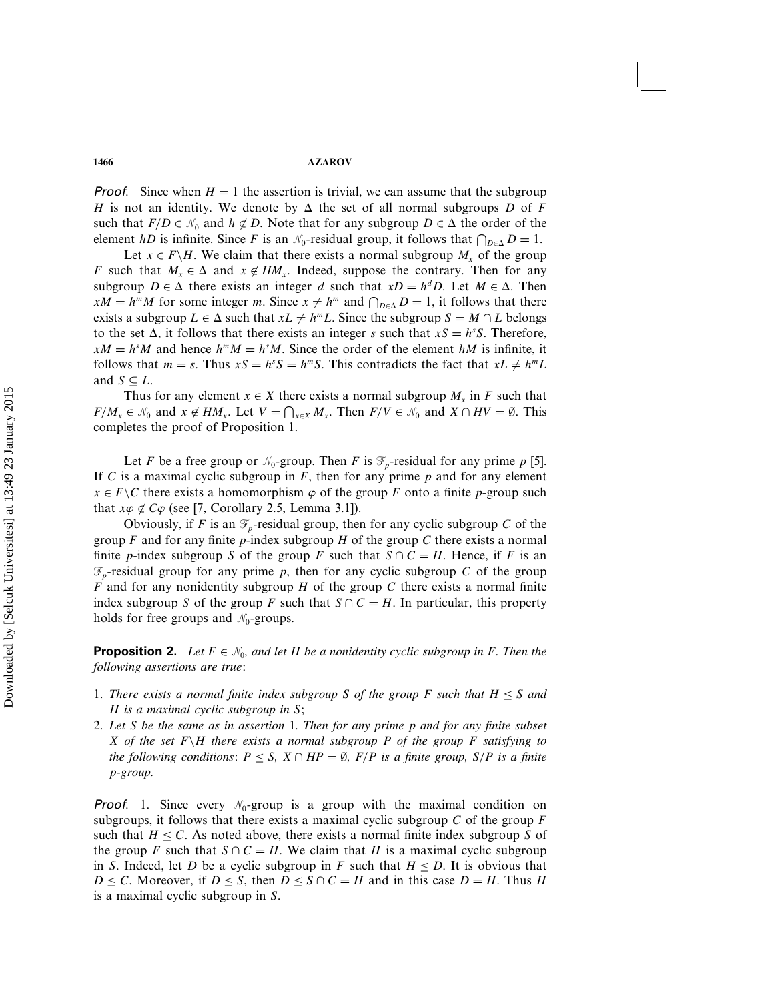**Proof.** Since when  $H = 1$  the assertion is trivial, we can assume that the subgroup H is not an identity. We denote by  $\Delta$  the set of all normal subgroups D of F such that  $F/D \in \mathcal{N}_0$  and  $h \notin D$ . Note that for any subgroup  $D \in \Delta$  the order of the element *hD* is infinite. Since *F* is an  $\mathcal{N}_0$ -residual group, it follows that  $\bigcap_{D \in \Delta} D = 1$ .

Let  $x \in F\backslash H$ . We claim that there exists a normal subgroup  $M_x$  of the group F such that  $M_x \in \Delta$  and  $x \notin HM_x$ . Indeed, suppose the contrary. Then for any subgroup  $D \in \Delta$  there exists an integer d such that  $xD = h^dD$ . Let  $M \in \Delta$ . Then  $xM = h^mM$  for some integer m. Since  $x \neq h^m$  and  $\bigcap_{D \in \Delta} D = 1$ , it follows that there exists a subgroup  $L \in \Delta$  such that  $xL \neq h^mL$ . Since the subgroup  $S = M \cap L$  belongs to the set  $\Delta$ , it follows that there exists an integer s such that  $xS = h<sup>s</sup>S$ . Therefore,  $xM = h<sup>s</sup>M$  and hence  $h<sup>m</sup>M = h<sup>s</sup>M$ . Since the order of the element  $hM$  is infinite, it follows that  $m = s$ . Thus  $xS = h^sS = h^mS$ . This contradicts the fact that  $xL \neq h^mL$ and  $S \subseteq L$ .

Thus for any element  $x \in X$  there exists a normal subgroup  $M_x$  in F such that  $F/M_x \in \mathcal{N}_0$  and  $x \notin HM_x$ . Let  $V = \bigcap_{x \in X} M_x$ . Then  $F/V \in \mathcal{N}_0$  and  $X \cap HV = \emptyset$ . This completes the proof of Proposition 1.

Let F be a free group or  $\mathcal{N}_0$ -group. Then F is  $\mathcal{F}_p$ -residual for any prime p [5]. If C is a maximal cyclic subgroup in F, then for any prime  $p$  and for any element  $x \in F \backslash C$  there exists a homomorphism  $\varphi$  of the group F onto a finite p-group such that  $x\varphi \notin C\varphi$  (see [7, Corollary 2.5, Lemma 3.1]).

Obviously, if F is an  $\mathcal{F}_p$ -residual group, then for any cyclic subgroup C of the group F and for any finite p-index subgroup H of the group C there exists a normal finite p-index subgroup S of the group F such that  $S \cap C = H$ . Hence, if F is an  $\mathcal{F}_p$ -residual group for any prime p, then for any cyclic subgroup C of the group F and for any nonidentity subgroup H of the group C there exists a normal finite index subgroup S of the group F such that  $S \cap C = H$ . In particular, this property holds for free groups and  $\mathcal{N}_0$ -groups.

**Proposition 2.** Let  $F \in \mathcal{N}_0$ , and let H be a nonidentity cyclic subgroup in F. Then the *following assertions are true:*

- 1. There exists a normal finite index subgroup S of the group F such that  $H \leq S$  and H *is a maximal cyclic subgroup in* S*;*
- 2. *Let* S *be the same as in assertion 1. Then for any prime* p *and for any finite subset* X *of the set* F\H *there exists a normal subgroup* P *of the group* F *satisfying to the following conditions:*  $P \leq S$ ,  $X \cap HP = \emptyset$ ,  $F/P$  *is a finite group,*  $S/P$  *is a finite* p*-group.*

**Proof.** 1. Since every  $\mathcal{N}_0$ -group is a group with the maximal condition on subgroups, it follows that there exists a maximal cyclic subgroup  $C$  of the group  $F$ such that  $H \leq C$ . As noted above, there exists a normal finite index subgroup S of the group F such that  $S \cap C = H$ . We claim that H is a maximal cyclic subgroup in S. Indeed, let D be a cyclic subgroup in F such that  $H \leq D$ . It is obvious that  $D \leq C$ . Moreover, if  $D \leq S$ , then  $D \leq S \cap C = H$  and in this case  $D = H$ . Thus H is a maximal cyclic subgroup in S.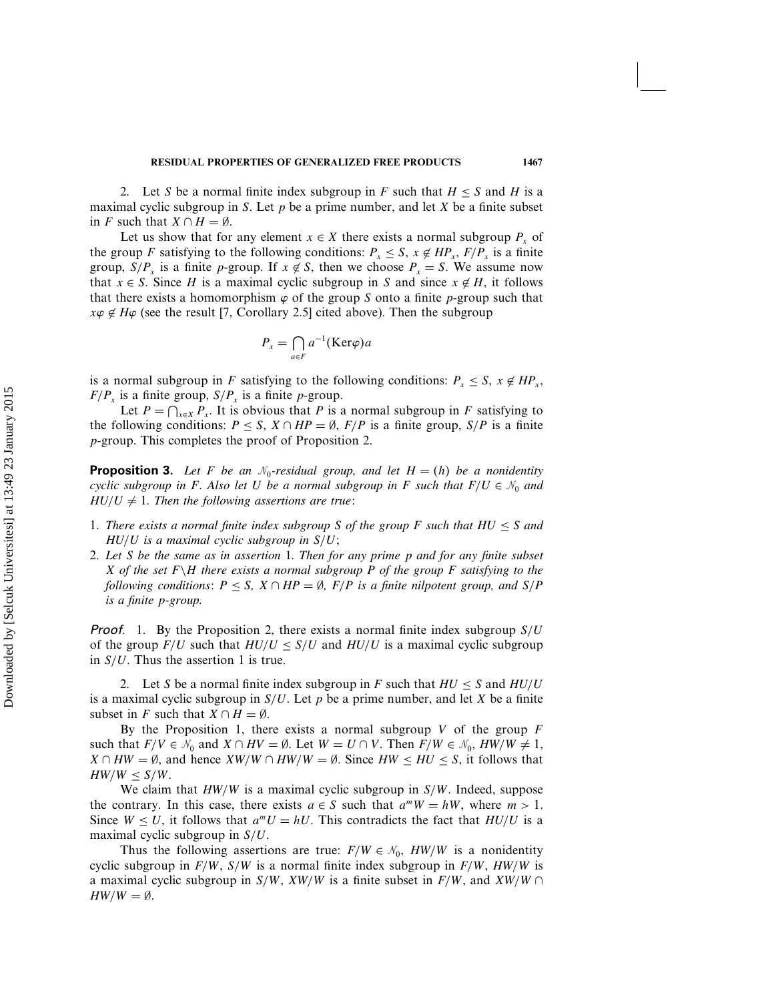2. Let S be a normal finite index subgroup in F such that  $H \leq S$  and H is a maximal cyclic subgroup in S. Let  $p$  be a prime number, and let  $X$  be a finite subset in F such that  $X \cap H = \emptyset$ .

Let us show that for any element  $x \in X$  there exists a normal subgroup  $P_x$  of the group F satisfying to the following conditions:  $P_x \leq S$ ,  $x \notin HP_x$ ,  $F/P_x$  is a finite group,  $S/P_r$  is a finite p-group. If  $x \notin S$ , then we choose  $P_r = S$ . We assume now that  $x \in S$ . Since H is a maximal cyclic subgroup in S and since  $x \notin H$ , it follows that there exists a homomorphism  $\varphi$  of the group S onto a finite p-group such that  $x\varphi \notin H\varphi$  (see the result [7, Corollary 2.5] cited above). Then the subgroup

$$
P_x = \bigcap_{a \in F} a^{-1}(\text{Ker}\varphi)a
$$

is a normal subgroup in F satisfying to the following conditions:  $P_x \leq S$ ,  $x \notin HP_x$ ,  $F/P_x$  is a finite group,  $S/P_x$  is a finite p-group.

Let  $P = \bigcap_{x \in X} P_x$ . It is obvious that P is a normal subgroup in F satisfying to the following conditions:  $P \leq S$ ,  $X \cap HP = \emptyset$ ,  $F/P$  is a finite group,  $S/P$  is a finite p-group. This completes the proof of Proposition 2.

**Proposition 3.** Let F be an  $\mathcal{N}_0$ -residual group, and let  $H = (h)$  be a nonidentity *cyclic subgroup in* F. Also let U be a normal subgroup in F such that  $F/U \in \mathcal{N}_0$  and  $HU/U \neq 1$ . Then the following assertions are true:

- 1. There exists a normal finite index subgroup S of the group F such that  $HU \leq S$  and HU/U *is a maximal cyclic subgroup in* S/U*;*
- 2. *Let* S *be the same as in assertion 1. Then for any prime* p *and for any finite subset* X *of the set* F\H *there exists a normal subgroup* P *of the group* F *satisfying to the following conditions:*  $P \leq S$ ,  $X \cap HP = \emptyset$ ,  $F/P$  *is a finite nilpotent group, and*  $S/P$ *is a finite* p*-group.*

**Proof.** 1. By the Proposition 2, there exists a normal finite index subgroup  $S/U$ of the group  $F/U$  such that  $HU/U \leq S/U$  and  $HU/U$  is a maximal cyclic subgroup in  $S/U$ . Thus the assertion 1 is true.

2. Let S be a normal finite index subgroup in F such that  $HU \leq S$  and  $HU/U$ is a maximal cyclic subgroup in  $S/U$ . Let p be a prime number, and let X be a finite subset in F such that  $X \cap H = \emptyset$ .

By the Proposition 1, there exists a normal subgroup  $V$  of the group  $F$ such that  $F/V \in \mathcal{N}_0$  and  $X \cap HV = \emptyset$ . Let  $W = U \cap V$ . Then  $F/W \in \mathcal{N}_0$ ,  $HW/W \neq 1$ ,  $X \cap HW = \emptyset$ , and hence  $XW/W \cap HW/W = \emptyset$ . Since  $HW \leq HU \leq S$ , it follows that  $HW/W \le S/W$ .

We claim that  $HW/W$  is a maximal cyclic subgroup in  $S/W$ . Indeed, suppose the contrary. In this case, there exists  $a \in S$  such that  $a^m W = hW$ , where  $m > 1$ . Since  $W \leq U$ , it follows that  $a^mU = hU$ . This contradicts the fact that  $HU/U$  is a maximal cyclic subgroup in  $S/U$ .

Thus the following assertions are true:  $F/W \in \mathcal{N}_0$ ,  $HW/W$  is a nonidentity cyclic subgroup in  $F/W$ ,  $S/W$  is a normal finite index subgroup in  $F/W$ ,  $HW/W$  is a maximal cyclic subgroup in  $S/W$ ,  $XW/W$  is a finite subset in  $F/W$ , and  $XW/W \cap$  $HW/W = \emptyset$ .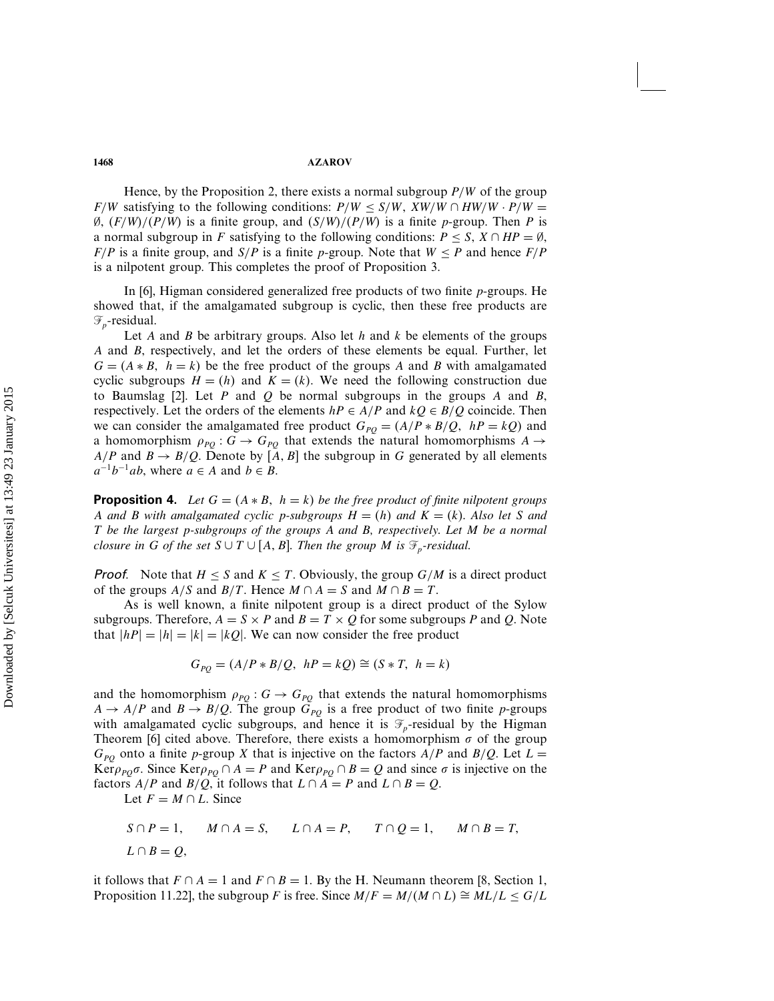#### **1468 AZAROV**

Hence, by the Proposition 2, there exists a normal subgroup  $P/W$  of the group F/W satisfying to the following conditions:  $P/W \le S/W$ ,  $XW/W \cap HW/W \cdot P/W =$ Ø,  $(F/W)/(P/W)$  is a finite group, and  $(S/W)/(P/W)$  is a finite p-group. Then P is a normal subgroup in F satisfying to the following conditions:  $P \leq S$ ,  $X \cap HP = \emptyset$ ,  $F/P$  is a finite group, and  $S/P$  is a finite p-group. Note that  $W \leq P$  and hence  $F/P$ is a nilpotent group. This completes the proof of Proposition 3.

In [6], Higman considered generalized free products of two finite p-groups. He showed that, if the amalgamated subgroup is cyclic, then these free products are  $\mathcal{F}_n$ -residual.

Let A and B be arbitrary groups. Also let  $h$  and  $k$  be elements of the groups A and B, respectively, and let the orders of these elements be equal. Further, let  $G = (A * B, h = k)$  be the free product of the groups A and B with amalgamated cyclic subgroups  $H = (h)$  and  $K = (k)$ . We need the following construction due to Baumslag  $[2]$ . Let P and Q be normal subgroups in the groups A and B, respectively. Let the orders of the elements  $hP \in A/P$  and  $kQ \in B/Q$  coincide. Then we can consider the amalgamated free product  $G_{PQ} = (A/P * B/Q, hP = kQ)$  and a homomorphism  $\rho_{PO}$  :  $G \rightarrow G_{PO}$  that extends the natural homomorphisms  $A \rightarrow$  $A/P$  and  $B \to B/Q$ . Denote by  $[A, B]$  the subgroup in G generated by all elements  $a^{-1}b^{-1}ab$ , where  $a \in A$  and  $b \in B$ .

**Proposition 4.** Let  $G = (A * B, h = k)$  be the free product of finite nilpotent groups A and B with amalgamated cyclic p-subgroups  $H = (h)$  and  $K = (k)$ . Also let S and T *be the largest* p*-subgroups of the groups* A *and* B*, respectively. Let* M *be a normal closure in* G *of the set*  $S \cup T \cup [A, B]$ . Then the group M is  $\mathcal{F}_p$ -residual.

**Proof.** Note that  $H \leq S$  and  $K \leq T$ . Obviously, the group  $G/M$  is a direct product of the groups  $A/S$  and  $B/T$ . Hence  $M \cap A = S$  and  $M \cap B = T$ .

As is well known, a finite nilpotent group is a direct product of the Sylow subgroups. Therefore,  $A = S \times P$  and  $B = T \times Q$  for some subgroups P and Q. Note that  $|hP|=|h|=|k|=kQ$ . We can now consider the free product

$$
G_{PQ} = (A/P * B/Q, \ hP = kQ) \cong (S * T, \ h = k)
$$

and the homomorphism  $\rho_{PQ}$ :  $G \rightarrow G_{PQ}$  that extends the natural homomorphisms  $A \rightarrow A/P$  and  $B \rightarrow B/Q$ . The group  $G_{PQ}$  is a free product of two finite p-groups with amalgamated cyclic subgroups, and hence it is  $\mathcal{F}_p$ -residual by the Higman Theorem [6] cited above. Therefore, there exists a homomorphism  $\sigma$  of the group  $G_{pQ}$  onto a finite p-group X that is injective on the factors  $A/P$  and  $B/Q$ . Let  $L =$ Ker $\rho_{PQ}\sigma$ . Since Ker $\rho_{PQ} \cap A = P$  and Ker $\rho_{PQ} \cap B = Q$  and since  $\sigma$  is injective on the factors  $A/P$  and  $B/Q$ , it follows that  $L \cap A = P$  and  $L \cap B = Q$ .

Let  $F = M \cap L$ . Since

$$
S \cap P = 1, \qquad M \cap A = S, \qquad L \cap A = P, \qquad T \cap Q = 1, \qquad M \cap B = T,
$$
  

$$
L \cap B = Q,
$$

it follows that  $F \cap A = 1$  and  $F \cap B = 1$ . By the H. Neumann theorem [8, Section 1, Proposition 11.22], the subgroup F is free. Since  $M/F = M/(M \cap L) \cong ML/L \le G/L$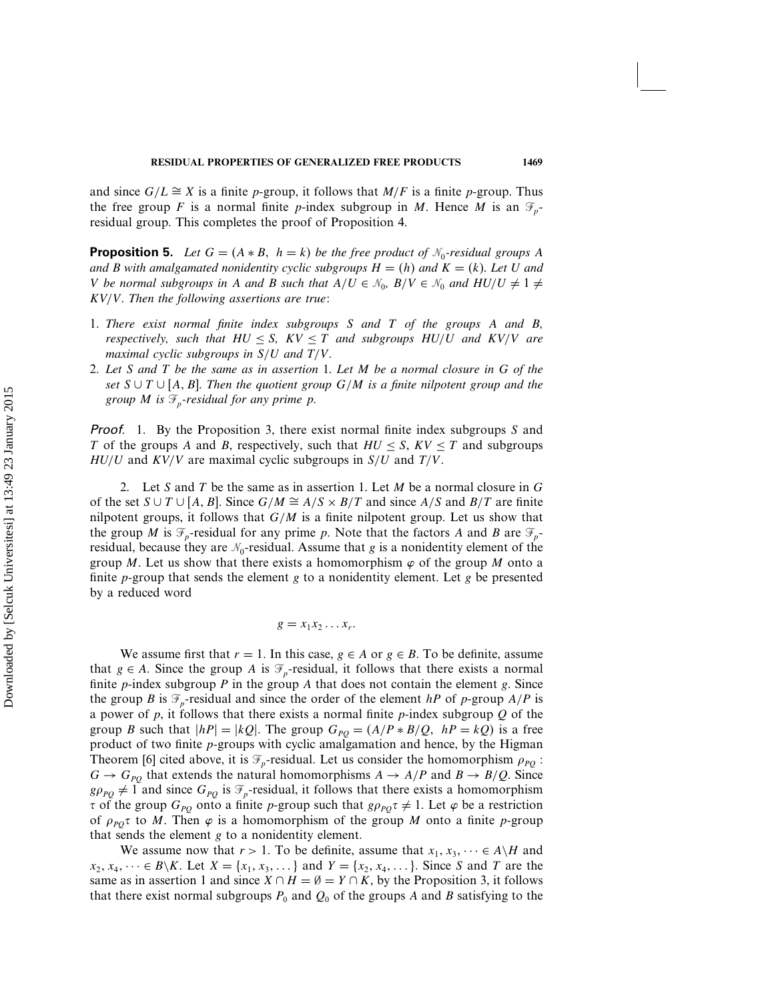and since  $G/L \cong X$  is a finite p-group, it follows that  $M/F$  is a finite p-group. Thus the free group F is a normal finite p-index subgroup in M. Hence M is an  $\mathcal{F}_p$ residual group. This completes the proof of Proposition 4.

**Proposition 5.** Let  $G = (A * B, h = k)$  be the free product of  $\mathcal{N}_0$ -residual groups A *and* B with amalgamated nonidentity cyclic subgroups  $H = (h)$  and  $K = (k)$ . Let U and *V* be normal subgroups in A and B such that  $A/U \in \mathcal{N}_0$ ,  $B/V \in \mathcal{N}_0$  and  $HU/U \neq 1 \neq 0$ KV/V*. Then the following assertions are true:*

- 1. *There exist normal finite index subgroups* S *and* T *of the groups* A *and* B*, respectively, such that*  $HU \leq S$ ,  $KV \leq T$  *and subgroups*  $HU/U$  *and*  $KV/V$  *are maximal cyclic subgroups in* S/U *and* T/V*.*
- 2. *Let* S *and* T *be the same as in assertion 1. Let* M *be a normal closure in* G *of the set*  $S ∪ T ∪ [A, B]$ . Then the quotient group  $G/M$  is a finite nilpotent group and the *group M* is  $\mathcal{F}_p$ -residual for any prime p.

**Proof.** 1. By the Proposition 3, there exist normal finite index subgroups S and T of the groups A and B, respectively, such that  $HU \leq S$ ,  $KV \leq T$  and subgroups  $HU/U$  and  $KV/V$  are maximal cyclic subgroups in  $S/U$  and  $T/V$ .

2. Let S and T be the same as in assertion 1. Let M be a normal closure in  $G$ of the set  $S \cup T \cup [A, B]$ . Since  $G/M \cong A/S \times B/T$  and since  $A/S$  and  $B/T$  are finite nilpotent groups, it follows that  $G/M$  is a finite nilpotent group. Let us show that the group M is  $\mathcal{F}_p$ -residual for any prime p. Note that the factors A and B are  $\mathcal{F}_p$ residual, because they are  $\mathcal{N}_0$ -residual. Assume that g is a nonidentity element of the group M. Let us show that there exists a homomorphism  $\varphi$  of the group M onto a finite  $p$ -group that sends the element  $g$  to a nonidentity element. Let  $g$  be presented by a reduced word

$$
g = x_1 x_2 \dots x_r.
$$

We assume first that  $r = 1$ . In this case,  $g \in A$  or  $g \in B$ . To be definite, assume that  $g \in A$ . Since the group A is  $\mathcal{F}_p$ -residual, it follows that there exists a normal finite *p*-index subgroup *P* in the group *A* that does not contain the element *g*. Since the group B is  $\mathcal{F}_p$ -residual and since the order of the element hP of p-group  $A/P$  is a power of  $p$ , it follows that there exists a normal finite  $p$ -index subgroup  $Q$  of the group B such that  $|hP|=|kQ|$ . The group  $G_{PQ}=(A/P*B/Q, hP=kQ)$  is a free product of two finite p-groups with cyclic amalgamation and hence, by the Higman Theorem [6] cited above, it is  $\mathcal{F}_p$ -residual. Let us consider the homomorphism  $\rho_{po}$ :  $G \rightarrow G_{PQ}$  that extends the natural homomorphisms  $A \rightarrow A/P$  and  $B \rightarrow B/Q$ . Since  $g\rho_{PQ} \neq 1$  and since  $G_{PQ}$  is  $\mathcal{F}_p$ -residual, it follows that there exists a homomorphism  $\tau$  of the group  $G_{PQ}$  onto a finite p-group such that  $g\rho_{PQ}\tau \neq 1$ . Let  $\varphi$  be a restriction of  $\rho_{PQ}$  to M. Then  $\varphi$  is a homomorphism of the group M onto a finite p-group that sends the element g to a nonidentity element.

We assume now that  $r > 1$ . To be definite, assume that  $x_1, x_3, \dots \in A\backslash H$  and  $x_2, x_4, \dots \in B\backslash K$ . Let  $X = \{x_1, x_3, \dots \}$  and  $Y = \{x_2, x_4, \dots \}$ . Since S and T are the same as in assertion 1 and since  $X \cap H = \emptyset = Y \cap K$ , by the Proposition 3, it follows that there exist normal subgroups  $P_0$  and  $Q_0$  of the groups A and B satisfying to the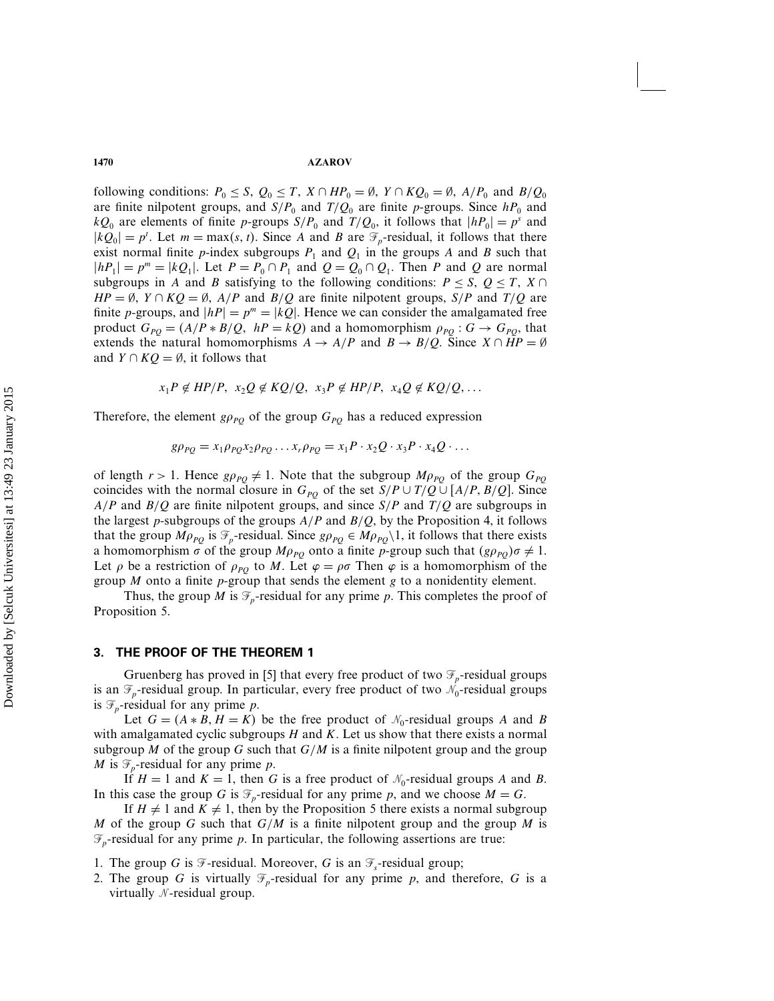#### **1470 AZAROV**

following conditions:  $P_0 \le S$ ,  $Q_0 \le T$ ,  $X \cap HP_0 = \emptyset$ ,  $Y \cap KQ_0 = \emptyset$ ,  $A/P_0$  and  $B/Q_0$ are finite nilpotent groups, and  $S/P_0$  and  $T/Q_0$  are finite p-groups. Since  $hP_0$  and  $kQ_0$  are elements of finite p-groups  $S/P_0$  and  $T/Q_0$ , it follows that  $|hP_0| = p^s$  and  $|kQ_0| = p^t$ . Let  $m = \max(s, t)$ . Since A and B are  $\mathcal{F}_p$ -residual, it follows that there exist normal finite p-index subgroups  $P_1$  and  $Q_1$  in the groups A and B such that  $|hP_1| = p^m = |kQ_1|$ . Let  $P = P_0 \cap P_1$  and  $Q = Q_0 \cap Q_1$ . Then P and Q are normal subgroups in A and B satisfying to the following conditions:  $P \leq S$ ,  $Q \leq T$ ,  $X \cap$  $HP = \emptyset$ ,  $Y \cap KQ = \emptyset$ ,  $A/P$  and  $B/Q$  are finite nilpotent groups,  $S/P$  and  $T/Q$  are finite p-groups, and  $|hP| = p^m = |kQ|$ . Hence we can consider the amalgamated free product  $G_{PO} = (A/P * B/Q, hP = kQ)$  and a homomorphism  $\rho_{PO} : G \rightarrow G_{PO}$ , that extends the natural homomorphisms  $A \rightarrow A/P$  and  $B \rightarrow B/Q$ . Since  $X \cap HP = \emptyset$ and  $Y \cap KQ = \emptyset$ , it follows that

$$
x_1P \notin HP/P, x_2Q \notin KQ/Q, x_3P \notin HP/P, x_4Q \notin KQ/Q, \ldots
$$

Therefore, the element  $g\rho_{PQ}$  of the group  $G_{PQ}$  has a reduced expression

$$
g\rho_{PQ} = x_1 \rho_{PQ} x_2 \rho_{PQ} \dots x_r \rho_{PQ} = x_1 P \cdot x_2 Q \cdot x_3 P \cdot x_4 Q \cdot \dots
$$

of length  $r > 1$ . Hence  $g \rho_{PQ} \neq 1$ . Note that the subgroup  $M \rho_{PQ}$  of the group  $G_{PQ}$ coincides with the normal closure in  $G_{PQ}$  of the set  $S/P \cup T/Q \cup [A/P, B/Q]$ . Since  $A/P$  and  $B/Q$  are finite nilpotent groups, and since  $S/P$  and  $T/Q$  are subgroups in the largest p-subgroups of the groups  $A/P$  and  $B/Q$ , by the Proposition 4, it follows that the group  $M\rho_{PQ}$  is  $\mathcal{F}_p$ -residual. Since  $g\rho_{PQ} \in M\rho_{PQ}\setminus 1$ , it follows that there exists a homomorphism  $\sigma$  of the group  $M\rho_{PQ}$  onto a finite p-group such that  $(g\rho_{PQ})\sigma \neq 1$ . Let  $\rho$  be a restriction of  $\rho_{PQ}$  to M. Let  $\varphi = \rho\sigma$  Then  $\varphi$  is a homomorphism of the group  $M$  onto a finite  $p$ -group that sends the element  $g$  to a nonidentity element.

Thus, the group *M* is  $\mathcal{F}_p$ -residual for any prime *p*. This completes the proof of Proposition 5.

### 3. THE PROOF OF THE THEOREM 1

Gruenberg has proved in [5] that every free product of two  $\mathcal{F}_p$ -residual groups is an  $\mathcal{F}_p$ -residual group. In particular, every free product of two  $\mathcal{N}_0$ -residual groups is  $\mathcal{F}_p$ -residual for any prime p.

Let  $G = (A * B, H = K)$  be the free product of  $\mathcal{N}_0$ -residual groups A and B with amalgamated cyclic subgroups  $H$  and  $K$ . Let us show that there exists a normal subgroup M of the group G such that  $G/M$  is a finite nilpotent group and the group M is  $\mathcal{F}_p$ -residual for any prime p.

If  $H = 1$  and  $K = 1$ , then G is a free product of  $\mathcal{N}_0$ -residual groups A and B. In this case the group G is  $\mathcal{F}_p$ -residual for any prime p, and we choose  $M = G$ .

If  $H \neq 1$  and  $K \neq 1$ , then by the Proposition 5 there exists a normal subgroup M of the group G such that  $G/M$  is a finite nilpotent group and the group M is  $\mathcal{F}_p$ -residual for any prime p. In particular, the following assertions are true:

- 1. The group G is  $\mathcal{F}$ -residual. Moreover, G is an  $\mathcal{F}_s$ -residual group;
- 2. The group G is virtually  $\mathcal{F}_p$ -residual for any prime p, and therefore, G is a virtually  $N$ -residual group.